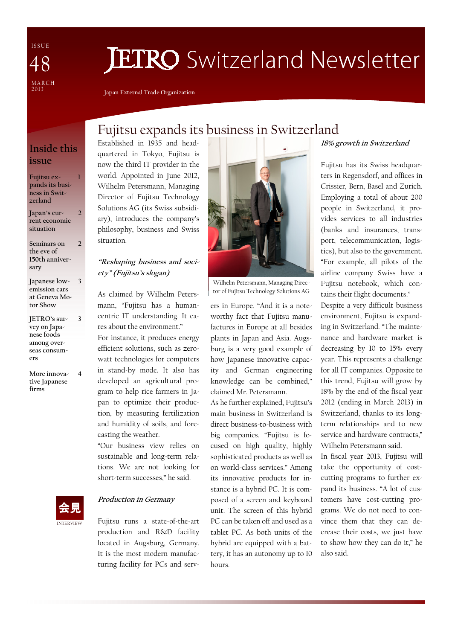I S S U E MARCH<br>2013 48

# **JETRO** Switzerland Newsletter

Japan External Trade Organization

## Inside this issue

1

 $\overline{\phantom{a}}$ 

3

Fujitsu expands its business in Switzerland

Japan's current economic situation 2

Seminars on the eve of 150th anniversary

Japanese lowemission cars at Geneva Motor Show 3

JETRO's survey on Japanese foods among overseas consumers

More innovative Japanese firms 4

## Fujitsu expands its business in Switzerland

Established in 1935 and headquartered in Tokyo, Fujitsu is now the third IT provider in the world. Appointed in June 2012, Wilhelm Petersmann, Managing Director of Fujitsu Technology Solutions AG (its Swiss subsidiary), introduces the company's philosophy, business and Swiss situation.

### "Reshaping business and society" (Fujitsu's slogan)

As claimed by Wilhelm Petersmann, "Fujitsu has a humancentric IT understanding. It cares about the environment." For instance, it produces energy efficient solutions, such as zerowatt technologies for computers in stand-by mode. It also has developed an agricultural program to help rice farmers in Japan to optimize their production, by measuring fertilization and humidity of soils, and forecasting the weather.

"Our business view relies on sustainable and long-term relations. We are not looking for short-term successes," he said.



### Production in Germany

Fujitsu runs a state-of-the-art production and R&D facility located in Augsburg, Germany. It is the most modern manufacturing facility for PCs and serv-



Wilhelm Petersmann, Managing Director of Fujitsu Technology Solutions AG

ers in Europe. "And it is a noteworthy fact that Fujitsu manufactures in Europe at all besides plants in Japan and Asia. Augsburg is a very good example of how Japanese innovative capacity and German engineering knowledge can be combined," claimed Mr. Petersmann.

As he further explained, Fujitsu's main business in Switzerland is direct business-to-business with big companies. "Fujitsu is focused on high quality, highly sophisticated products as well as on world-class services." Among its innovative products for instance is a hybrid PC. It is composed of a screen and keyboard unit. The screen of this hybrid PC can be taken off and used as a tablet PC. As both units of the hybrid are equipped with a battery, it has an autonomy up to 10 hours.

#### 18% growth in Switzerland

Fujitsu has its Swiss headquarters in Regensdorf, and offices in Crissier, Bern, Basel and Zurich. Employing a total of about 200 people in Switzerland, it provides services to all industries (banks and insurances, transport, telecommunication, logistics), but also to the government. "For example, all pilots of the airline company Swiss have a Fujitsu notebook, which contains their flight documents."

Despite a very difficult business environment, Fujitsu is expanding in Switzerland. "The maintenance and hardware market is decreasing by 10 to 15% every year. This represents a challenge for all IT companies. Opposite to this trend, Fujitsu will grow by 18% by the end of the fiscal year 2012 (ending in March 2013) in Switzerland, thanks to its longterm relationships and to new service and hardware contracts," Wilhelm Petersmann said.

In fiscal year 2013, Fujitsu will take the opportunity of costcutting programs to further expand its business. "A lot of customers have cost-cutting programs. We do not need to convince them that they can decrease their costs, we just have to show how they can do it," he also said.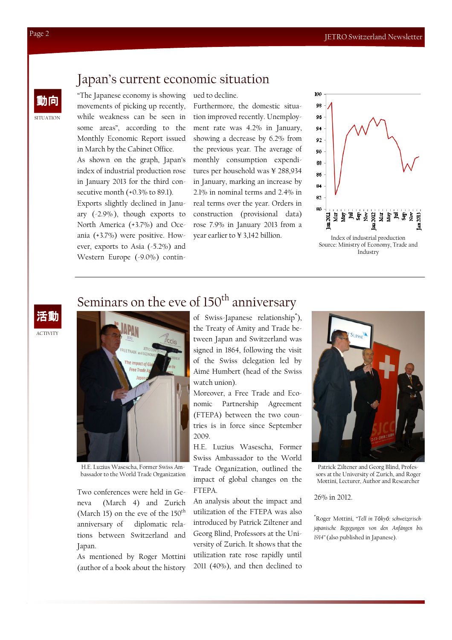## Japan's current economic situation

動向 "The Japanese economy is showing movements of picking up recently, while weakness can be seen in some areas", according to the Monthly Economic Report issued in March by the Cabinet Office.

> As shown on the graph, Japan's index of industrial production rose in January 2013 for the third consecutive month (+0.3% to 89.1).

> Exports slightly declined in January (-2.9% ), though exports to North America (+3.7%) and Oceania (+3.7%) were positive. However, exports to Asia (-5.2%) and Western Europe (-9.0%) contin-

ued to decline.

Furthermore, the domestic situation improved recently. Unemployment rate was 4.2% in January, showing a decrease by 6.2% from the previous year. The average of monthly consumption expenditures per household was ¥ 288,934 in January, marking an increase by 2.1% in nominal terms and 2.4% in real terms over the year. Orders in construction (provisional data) rose 7.9% in January 2013 from a year earlier to ¥ 3,142 billion.



## **ACTIVITY**



H.E. Luzius Wasescha, Former Swiss Ambassador to the World Trade Organization

Two conferences were held in Geneva (March 4) and Zurich (March 15) on the eve of the  $150^{\text{th}}$ anniversary of diplomatic relations between Switzerland and Japan.

As mentioned by Roger Mottini (author of a book about the history the Treaty of Amity and Trade between Japan and Switzerland was signed in 1864, following the visit of the Swiss delegation led by Aimé Humbert (head of the Swiss watch union).

Moreover, a Free Trade and Economic Partnership Agreement (FTEPA) between the two countries is in force since September 2009.

H.E. Luzius Wasescha, Former Swiss Ambassador to the World Trade Organization, outlined the impact of global changes on the FTEPA.

An analysis about the impact and utilization of the FTEPA was also introduced by Patrick Ziltener and Georg Blind, Professors at the University of Zurich. It shows that the utilization rate rose rapidly until 2011 (40%), and then declined to



Patrick Ziltener and Georg Blind, Professors at the University of Zurich, and Roger Mottini, Lecturer, Author and Researcher

26% in 2012.

\*Roger Mottini, "Tell in Tōkyō: schweizerischjapanische Begegungen von den Anfängen bis 1914" (also published in Japanese).

SITUATION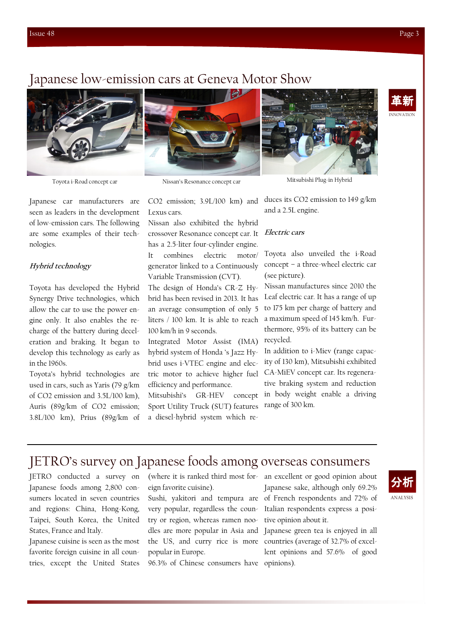## Japanese low-emission cars at Geneva Motor Show



Japanese car manufacturers are seen as leaders in the development of low-emission cars. The following are some examples of their technologies.

#### Hybrid technology

Toyota has developed the Hybrid Synergy Drive technologies, which allow the car to use the power engine only. It also enables the recharge of the battery during deceleration and braking. It began to develop this technology as early as in the 1960s.

Toyota's hybrid technologies are used in cars, such as Yaris (79 g/km of CO2 emission and 3.5L/100 km), Auris (89g/km of CO2 emission; 3.8L/100 km), Prius (89g/km of



CO2 emission; 3.9L/100 km) and Lexus cars.

Nissan also exhibited the hybrid crossover Resonance concept car. It has a 2.5-liter four-cylinder engine. It combines electric motor/

generator linked to a Continuously Variable Transmission (CVT). The design of Honda's CR-Z Hy-

brid has been revised in 2013. It has an average consumption of only 5 liters / 100 km. It is able to reach 100 km/h in 9 seconds.

Integrated Motor Assist (IMA) hybrid system of Honda 's Jazz Hybrid uses i-VTEC engine and electric motor to achieve higher fuel efficiency and performance.

Mitsubishi's GR-HEV concept Sport Utility Truck (SUT) features a diesel-hybrid system which re-



Toyota i-Road concept car Nissan's Resonance concept car Mitsubishi Plug-in Hybrid

duces its CO2 emission to 149 g/km and a 2.5L engine.

#### Electric cars

Toyota also unveiled the i-Road concept – a three-wheel electric car (see picture).

Nissan manufactures since 2010 the Leaf electric car. It has a range of up to 175 km per charge of battery and a maximum speed of 145 km/h. Furthermore, 95% of its battery can be recycled.

In addition to i-Miev (range capacity of 130 km), Mitsubishi exhibited CA-MiEV concept car. Its regenerative braking system and reduction in body weight enable a driving range of 300 km.

## JETRO's survey on Japanese foods among overseas consumers

JETRO conducted a survey on Japanese foods among 2,800 consumers located in seven countries and regions: China, Hong-Kong, Taipei, South Korea, the United States, France and Italy.

Japanese cuisine is seen as the most favorite foreign cuisine in all countries, except the United States eign favorite cuisine).

very popular, regardless the country or region, whereas ramen noopopular in Europe.

96.3% of Chinese consumers have opinions).

(where it is ranked third most for-an excellent or good opinion about Sushi, yakitori and tempura are of French respondents and 72% of Japanese sake, although only 69.2% Italian respondents express a positive opinion about it.

dles are more popular in Asia and Japanese green tea is enjoyed in all the US, and curry rice is more countries (average of 32.7% of excellent opinions and 57.6% of good